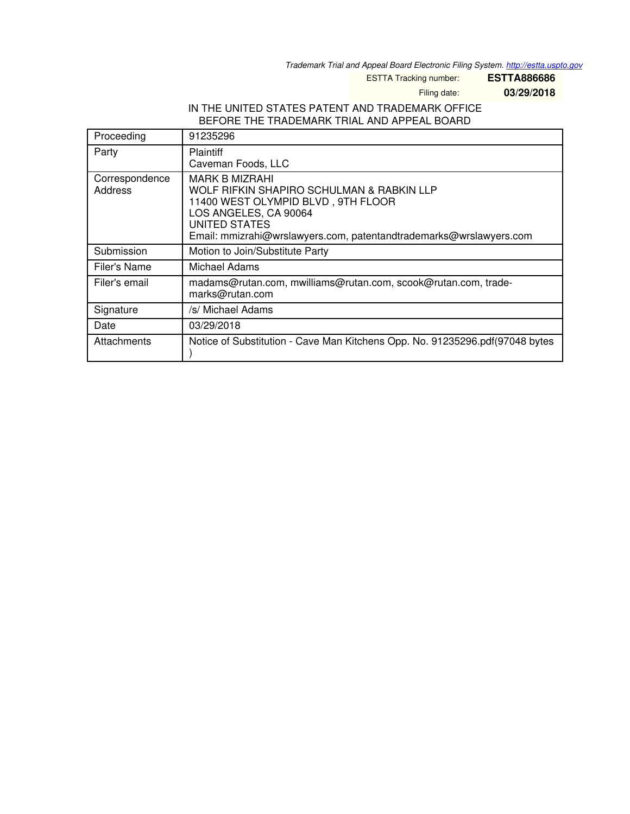*Trademark Trial and Appeal Board Electronic Filing System. <http://estta.uspto.gov>*

ESTTA Tracking number: **ESTTA886686**

Filing date: **03/29/2018**

### IN THE UNITED STATES PATENT AND TRADEMARK OFFICE BEFORE THE TRADEMARK TRIAL AND APPEAL BOARD

| Proceeding                | 91235296                                                                                                                                                                                                                        |
|---------------------------|---------------------------------------------------------------------------------------------------------------------------------------------------------------------------------------------------------------------------------|
| Party                     | <b>Plaintiff</b><br>Caveman Foods, LLC                                                                                                                                                                                          |
| Correspondence<br>Address | <b>MARK B MIZRAHI</b><br>WOLF RIFKIN SHAPIRO SCHULMAN & RABKIN LLP<br>11400 WEST OLYMPID BLVD, 9TH FLOOR<br>LOS ANGELES, CA 90064<br><b>UNITED STATES</b><br>Email: mmizrahi@wrslawyers.com, patentandtrademarks@wrslawyers.com |
| Submission                | Motion to Join/Substitute Party                                                                                                                                                                                                 |
| Filer's Name              | Michael Adams                                                                                                                                                                                                                   |
| Filer's email             | madams@rutan.com, mwilliams@rutan.com, scook@rutan.com, trade-<br>marks@rutan.com                                                                                                                                               |
| Signature                 | /s/ Michael Adams                                                                                                                                                                                                               |
| Date                      | 03/29/2018                                                                                                                                                                                                                      |
| Attachments               | Notice of Substitution - Cave Man Kitchens Opp. No. 91235296.pdf(97048 bytes                                                                                                                                                    |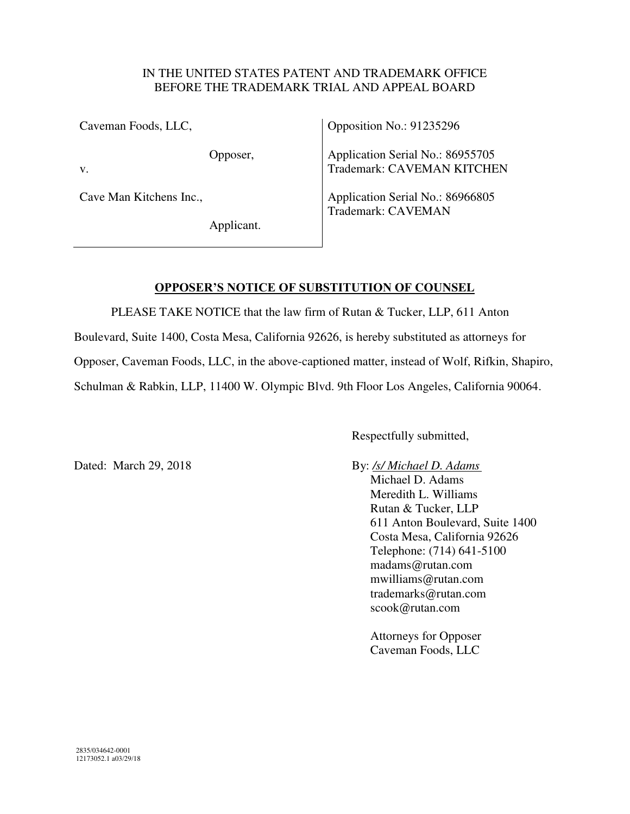### IN THE UNITED STATES PATENT AND TRADEMARK OFFICE BEFORE THE TRADEMARK TRIAL AND APPEAL BOARD

Caveman Foods, LLC,

Opposer,

v.

Cave Man Kitchens Inc.,

Applicant.

Opposition No.: 91235296

Application Serial No.: 86955705 Trademark: CAVEMAN KITCHEN

Application Serial No.: 86966805 Trademark: CAVEMAN

# **OPPOSER'S NOTICE OF SUBSTITUTION OF COUNSEL**

PLEASE TAKE NOTICE that the law firm of Rutan & Tucker, LLP, 611 Anton Boulevard, Suite 1400, Costa Mesa, California 92626, is hereby substituted as attorneys for Opposer, Caveman Foods, LLC, in the above-captioned matter, instead of Wolf, Rifkin, Shapiro, Schulman & Rabkin, LLP, 11400 W. Olympic Blvd. 9th Floor Los Angeles, California 90064.

Respectfully submitted,

Dated: March 29, 2018 **By:** */s/ Michael D. Adams* 

Michael D. Adams Meredith L. Williams Rutan & Tucker, LLP 611 Anton Boulevard, Suite 1400 Costa Mesa, California 92626 Telephone: (714) 641-5100 madams@rutan.com mwilliams@rutan.com trademarks@rutan.com scook@rutan.com

Attorneys for Opposer Caveman Foods, LLC